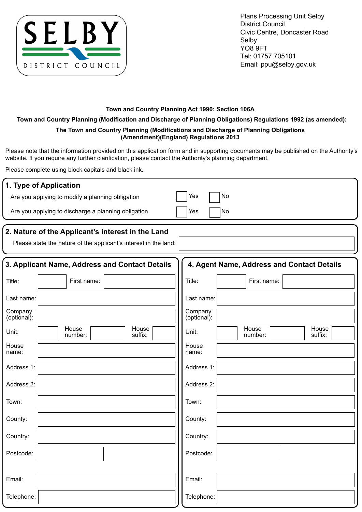

Plans Processing Unit Selby District Council Civic Centre, Doncaster Road Selby YO8 9FT Tel: 01757 705101 Email: ppu@selby.gov.uk

## **Town and Country Planning Act 1990: Section 106A**

**Town and Country Planning (Modification and Discharge of Planning Obligations) Regulations 1992 (as amended):**

## **The Town and Country Planning (Modifications and Discharge of Planning Obligations (Amendment)(England) Regulations 2013**

Please note that the information provided on this application form and in supporting documents may be published on the Authority's website. If you require any further clarification, please contact the Authority's planning department.

Please complete using block capitals and black ink.

| 1. Type of Application                                                                                                |                                               |  |  |  |  |  |  |  |
|-----------------------------------------------------------------------------------------------------------------------|-----------------------------------------------|--|--|--|--|--|--|--|
| Are you applying to modify a planning obligation                                                                      | No<br>Yes                                     |  |  |  |  |  |  |  |
| Are you applying to discharge a planning obligation                                                                   | No<br>Yes                                     |  |  |  |  |  |  |  |
| 2. Nature of the Applicant's interest in the Land<br>Please state the nature of the applicant's interest in the land: |                                               |  |  |  |  |  |  |  |
| 3. Applicant Name, Address and Contact Details                                                                        | 4. Agent Name, Address and Contact Details    |  |  |  |  |  |  |  |
| First name:<br>Title:                                                                                                 | Title:<br>First name:                         |  |  |  |  |  |  |  |
| Last name:                                                                                                            | Last name:                                    |  |  |  |  |  |  |  |
| Company<br>(optional):                                                                                                | Company<br>(optional):                        |  |  |  |  |  |  |  |
| House<br>House<br>Unit:<br>suffix:<br>number:                                                                         | House<br>House<br>Unit:<br>suffix:<br>number: |  |  |  |  |  |  |  |
| House<br>name:                                                                                                        | House<br>name:                                |  |  |  |  |  |  |  |
| Address 1:                                                                                                            | Address 1:                                    |  |  |  |  |  |  |  |
| Address 2:                                                                                                            | Address 2:                                    |  |  |  |  |  |  |  |
| Town:                                                                                                                 | Town:                                         |  |  |  |  |  |  |  |
| County:                                                                                                               | County:                                       |  |  |  |  |  |  |  |
| Country:                                                                                                              | Country:                                      |  |  |  |  |  |  |  |
| Postcode:                                                                                                             | Postcode:                                     |  |  |  |  |  |  |  |
| Email:                                                                                                                | Email:                                        |  |  |  |  |  |  |  |
| Telephone:                                                                                                            | Telephone:                                    |  |  |  |  |  |  |  |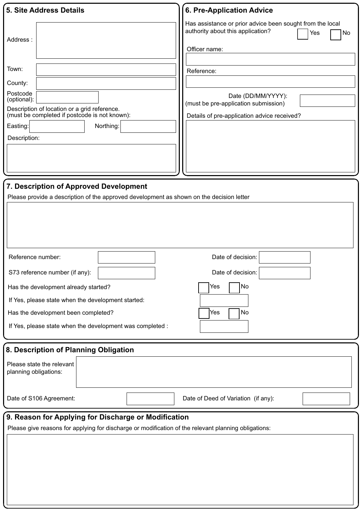| <b>5. Site Address Details</b>                                                                       | <b>6. Pre-Application Advice</b>                                                                                                           |  |  |  |  |
|------------------------------------------------------------------------------------------------------|--------------------------------------------------------------------------------------------------------------------------------------------|--|--|--|--|
| Address:<br>Town:<br>County:                                                                         | Has assistance or prior advice been sought from the local<br>authority about this application?<br>Yes<br>No<br>Officer name:<br>Reference: |  |  |  |  |
| Postcode<br>(optional):                                                                              | Date (DD/MM/YYYY):<br>(must be pre-application submission)                                                                                 |  |  |  |  |
| Description of location or a grid reference.<br>(must be completed if postcode is not known):        | Details of pre-application advice received?                                                                                                |  |  |  |  |
| Northing:<br>Easting:                                                                                |                                                                                                                                            |  |  |  |  |
| Description:                                                                                         |                                                                                                                                            |  |  |  |  |
|                                                                                                      |                                                                                                                                            |  |  |  |  |
|                                                                                                      |                                                                                                                                            |  |  |  |  |
| 7. Description of Approved Development                                                               |                                                                                                                                            |  |  |  |  |
| Please provide a description of the approved development as shown on the decision letter             |                                                                                                                                            |  |  |  |  |
|                                                                                                      |                                                                                                                                            |  |  |  |  |
| Reference number:                                                                                    | Date of decision:                                                                                                                          |  |  |  |  |
| S73 reference number (if any):                                                                       | Date of decision:                                                                                                                          |  |  |  |  |
| Has the development already started?                                                                 | No<br>Yes                                                                                                                                  |  |  |  |  |
| If Yes, please state when the development started:                                                   |                                                                                                                                            |  |  |  |  |
| Has the development been completed?                                                                  | No<br>Yes                                                                                                                                  |  |  |  |  |
| If Yes, please state when the development was completed :                                            |                                                                                                                                            |  |  |  |  |
| 8. Description of Planning Obligation                                                                |                                                                                                                                            |  |  |  |  |
| Please state the relevant<br>planning obligations:                                                   |                                                                                                                                            |  |  |  |  |
| Date of S106 Agreement:                                                                              | Date of Deed of Variation (if any):                                                                                                        |  |  |  |  |
| 9. Reason for Applying for Discharge or Modification                                                 |                                                                                                                                            |  |  |  |  |
| Please give reasons for applying for discharge or modification of the relevant planning obligations: |                                                                                                                                            |  |  |  |  |
|                                                                                                      |                                                                                                                                            |  |  |  |  |
|                                                                                                      |                                                                                                                                            |  |  |  |  |
|                                                                                                      |                                                                                                                                            |  |  |  |  |
|                                                                                                      |                                                                                                                                            |  |  |  |  |
|                                                                                                      |                                                                                                                                            |  |  |  |  |